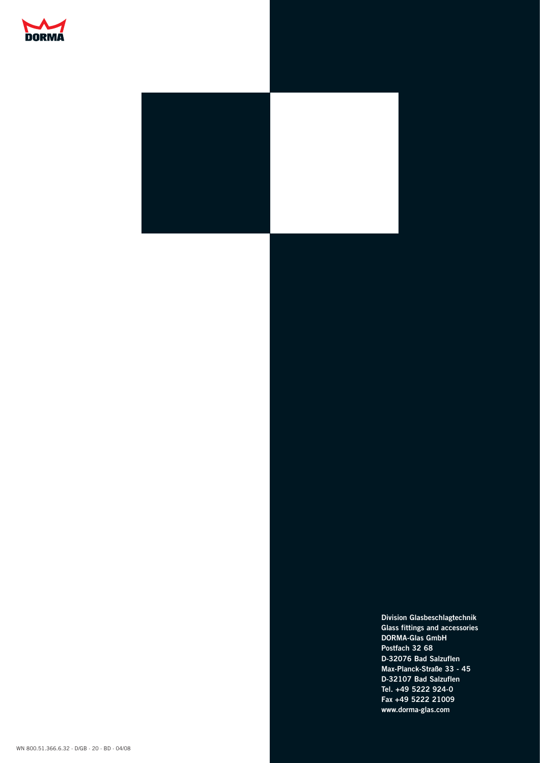



**Division Glasbeschlagtechnik Glass fittings and accessories DORMA-Glas GmbH Postfach 32 68 D-32076 Bad Salzuflen Max-Planck-Straße 33 - 45 D-32107 Bad Salzuflen Tel. +49 5222 924-0 Fax +49 5222 21009 www.dorma-glas.com**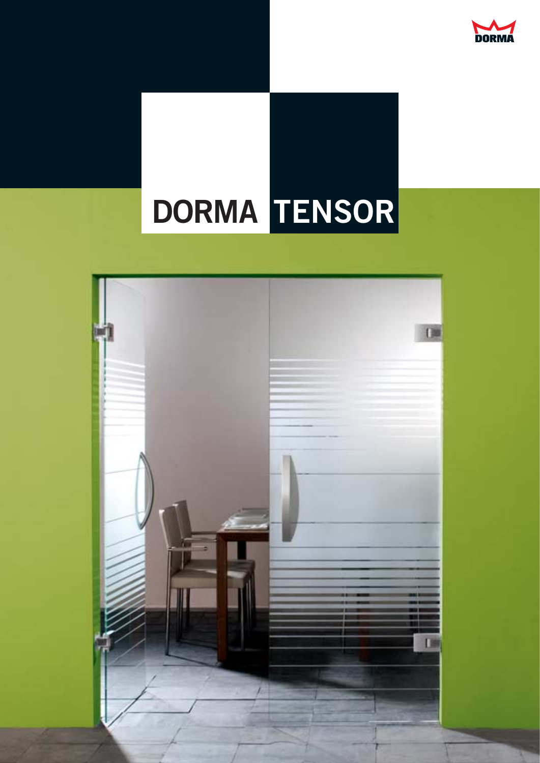

# **DORMA TENSOR**

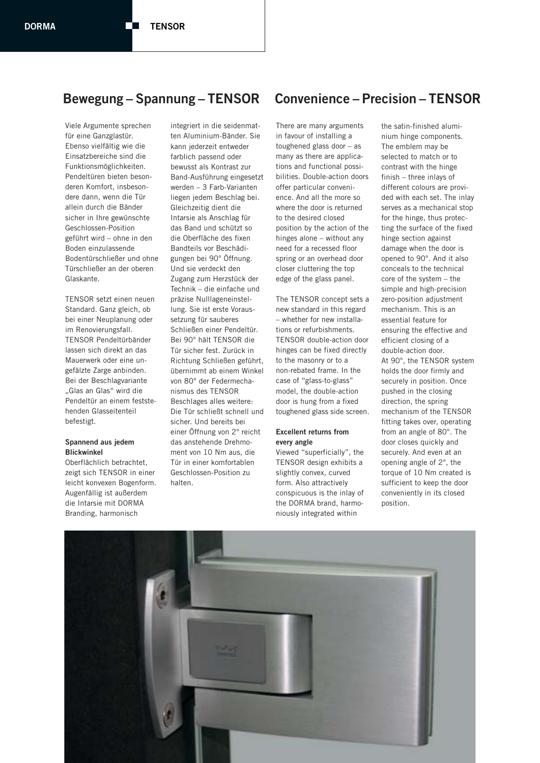Viele Argumente sprechen für eine Ganzglastür. Ebenso vielfältig wie die Einsatzbereiche sind die Funktionsmöglichkeiten. Pendeltüren bieten besonderen Komfort, insbesondere dann, wenn die Tür allein durch die Bänder sicher in Ihre gewünschte Geschlossen-Position geführt wird – ohne in den Boden einzulassende Bodentürschließer und ohne Türschließer an der oberen Glaskante.

TENSOR setzt einen neuen Standard. Ganz gleich, ob bei einer Neuplanung oder im Renovierungsfall. TENSOR Pendeltürbänder lassen sich direkt an das Mauerwerk oder eine ungefälzte Zarge anbinden. Bei der Beschlagvariante "Glas an Glas" wird die Pendeltür an einem feststehenden Glasseitenteil befestigt.

#### **Spannend aus jedem Blickwinkel**

Oberflächlich betrachtet, zeigt sich TENSOR in einer leicht konvexen Bogenform. Augenfällig ist außerdem die Intarsie mit DORMA Branding, harmonisch

integriert in die seidenmatten Aluminium-Bänder. Sie kann jederzeit entweder farblich passend oder bewusst als Kontrast zur Band-Ausführung eingesetzt werden – 3 Farb-Varianten liegen jedem Beschlag bei. Gleichzeitig dient die Intarsie als Anschlag für das Band und schützt so die Oberfläche des fixen Bandteils vor Beschädigungen bei 90° Öffnung. Und sie verdeckt den Zugang zum Herzstück der Technik – die einfache und präzise Nulllageneinstellung. Sie ist erste Voraussetzung für sauberes Schließen einer Pendeltür. Bei 90° hält TENSOR die Tür sicher fest. Zurück in Richtung Schließen geführt, übernimmt ab einem Winkel von 80° der Federmechanismus des TENSOR Beschlages alles weitere: Die Tür schließt schnell und sicher. Und bereits bei einer Öffnung von 2° reicht das anstehende Drehmoment von 10 Nm aus, die Tür in einer komfortablen Geschlossen-Position zu halten.

# **Bewegung – Spannung – TENSOR Convenience – Precision – TENSOR**

There are many arguments in favour of installing a toughened glass door – as many as there are applications and functional possibilities. Double-action doors offer particular convenience. And all the more so where the door is returned to the desired closed position by the action of the hinges alone – without any need for a recessed floor spring or an overhead door closer cluttering the top edge of the glass panel.

The TENSOR concept sets a new standard in this regard – whether for new installations or refurbishments. TENSOR double-action door hinges can be fixed directly to the masonry or to a non-rebated frame. In the case of "glass-to-glass" model, the double-action door is hung from a fixed toughened glass side screen.

#### **Excellent returns from every angle**

Viewed "superficially", the TENSOR design exhibits a slightly convex, curved form. Also attractively conspicuous is the inlay of the DORMA brand, harmoniously integrated within

the satin-finished aluminium hinge components. The emblem may be selected to match or to contrast with the hinge finish – three inlays of different colours are provided with each set. The inlay serves as a mechanical stop for the hinge, thus protecting the surface of the fixed hinge section against damage when the door is opened to 90°. And it also conceals to the technical core of the system – the simple and high-precision zero-position adjustment mechanism. This is an essential feature for ensuring the effective and efficient closing of a double-action door. At 90°, the TENSOR system holds the door firmly and securely in position. Once pushed in the closing direction, the spring mechanism of the TENSOR fitting takes over, operating from an angle of 80°. The door closes quickly and securely. And even at an opening angle of 2°, the torque of 10 Nm created is sufficient to keep the door conveniently in its closed position.

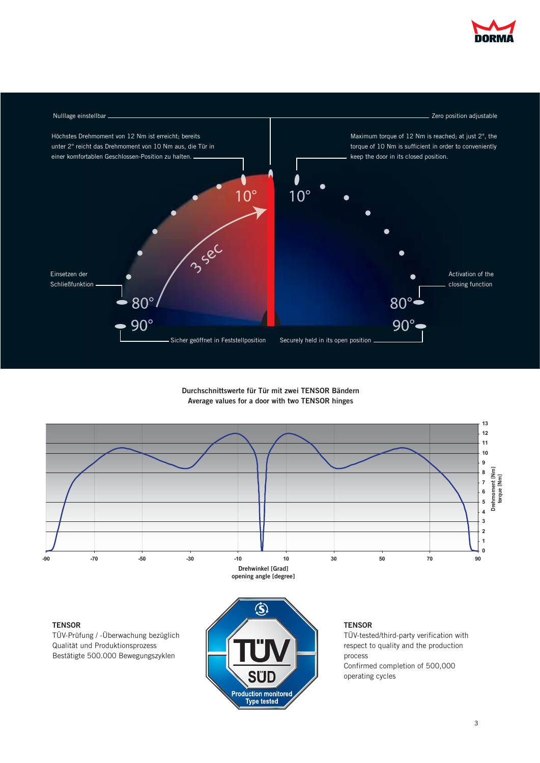



# **Durchschnittswerte für Tür mit zwei TENSOR Bändern Average values for a door with two TENSOR hinges**



Production monitored<br>
V Type tested

Confirmed completion of 500,000 operating cycles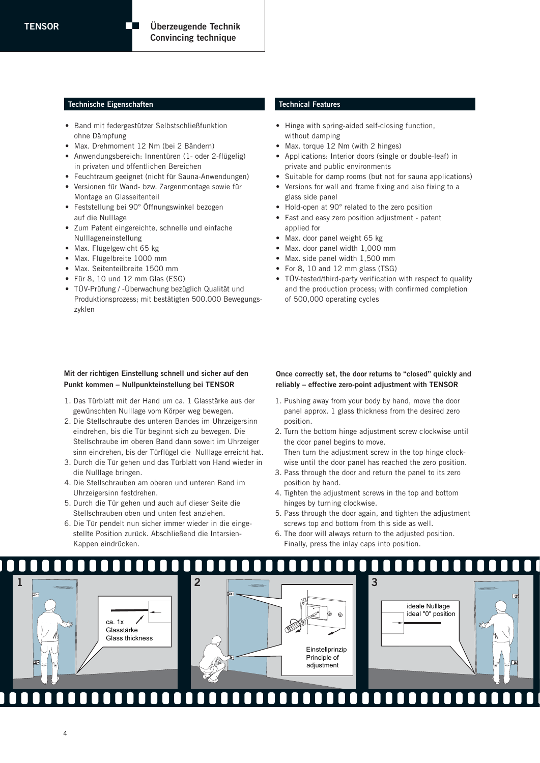#### **Technische Eigenschaften Technical Features**

- Band mit federgestützer Selbstschließfunktion ohne Dämpfung
- Max. Drehmoment 12 Nm (bei 2 Bändern)
- Anwendungsbereich: Innentüren (1- oder 2-flügelig) in privaten und öffentlichen Bereichen
- Feuchtraum geeignet (nicht für Sauna-Anwendungen)
- Versionen für Wand- bzw. Zargenmontage sowie für Montage an Glasseitenteil
- Feststellung bei 90° Öffnungswinkel bezogen auf die Nulllage
- Zum Patent eingereichte, schnelle und einfache Nulllageneinstellung
- Max. Flügelgewicht 65 kg
- Max. Flügelbreite 1000 mm
- Max. Seitenteilbreite 1500 mm
- Für 8, 10 und 12 mm Glas (ESG)
- TÜV-Prüfung / -Überwachung bezüglich Qualität und Produktionsprozess; mit bestätigten 500.000 Bewegungs zyklen

#### **Mit der richtigen Einstellung schnell und sicher auf den Punkt kommen – Nullpunkteinstellung bei TENSOR**

- 1. Das Türblatt mit der Hand um ca. 1 Glasstärke aus der gewünschten Nulllage vom Körper weg bewegen.
- 2. Die Stellschraube des unteren Bandes im Uhrzeigersinn eindrehen, bis die Tür beginnt sich zu bewegen. Die Stellschraube im oberen Band dann soweit im Uhrzeiger sinn eindrehen, bis der Türflügel die Nulllage erreicht hat.
- 3. Durch die Tür gehen und das Türblatt von Hand wieder in die Nulllage bringen.
- 4. Die Stellschrauben am oberen und unteren Band im Uhrzeigersinn festdrehen.
- 5. Durch die Tür gehen und auch auf dieser Seite die Stellschrauben oben und unten fest anziehen.
- 6. Die Tür pendelt nun sicher immer wieder in die einge stellte Position zurück. Abschließend die Intarsien- Kappen eindrücken.

- Hinge with spring-aided self-closing function, without damping
- Max. torque 12 Nm (with 2 hinges)
- Applications: Interior doors (single or double-leaf) in private and public environments
- Suitable for damp rooms (but not for sauna applications)
- Versions for wall and frame fixing and also fixing to a
- glass side panel • Hold-open at 90° related to the zero position
- Fast and easy zero position adjustment patent applied for
- Max. door panel weight 65 kg
- Max. door panel width 1,000 mm
- Max. side panel width 1,500 mm
- For 8, 10 and 12 mm glass (TSG)
- TÜV-tested/third-party verification with respect to quality and the production process; with confirmed completion of 500,000 operating cycles

## **Once correctly set, the door returns to "closed" quickly and reliably – effective zero-point adjustment with TENSOR**

- 1. Pushing away from your body by hand, move the door panel approx. 1 glass thickness from the desired zero position.
- 2. Turn the bottom hinge adjustment screw clockwise until the door panel begins to move. Then turn the adjustment screw in the top hinge clock wise until the door panel has reached the zero position.
- 3. Pass through the door and return the panel to its zero position by hand.
- 4. Tighten the adjustment screws in the top and bottom hinges by turning clockwise.
- 5. Pass through the door again, and tighten the adjustment screws top and bottom from this side as well.
- 6. The door will always return to the adjusted position. Finally, press the inlay caps into position.

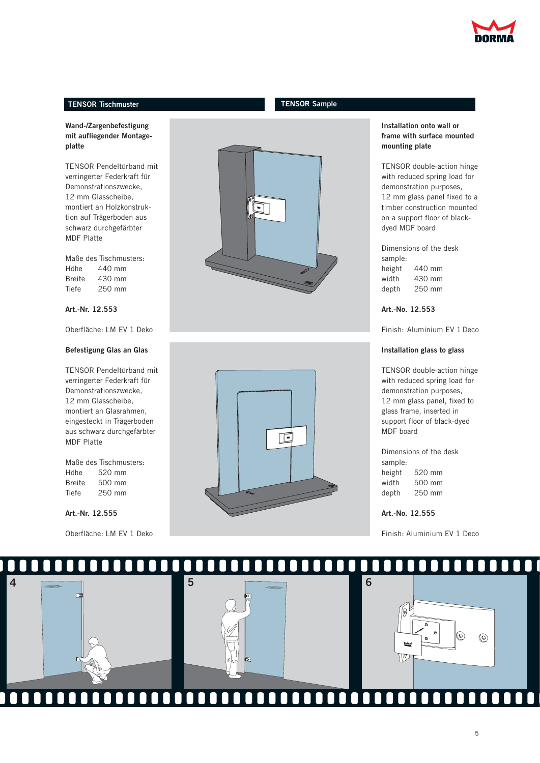

# **TENSOR Tischmuster TENSOR Sample**

# **Wand-/Zargenbefestigung mit aufliegender Montageplatte**

TENSOR Pendeltürband mit verringerter Federkraft für Demonstrationszwecke, 12 mm Glasscheibe, montiert an Holzkonstruktion auf Trägerboden aus schwarz durchgefärbter MDF Platte

Maße des Tischmusters: Höhe 440 mm Breite 430 mm Tiefe 250 mm

# **Art.-Nr. 12.553**

Oberfläche: LM EV 1 Deko

#### **Befestigung Glas an Glas**

TENSOR Pendeltürband mit verringerter Federkraft für Demonstrationszwecke, 12 mm Glasscheibe, montiert an Glasrahmen, eingesteckt in Trägerboden aus schwarz durchgefärbter MDF Platte

Maße des Tischmusters: Höhe 520 mm Breite 500 mm Tiefe 250 mm

## **Art.-Nr. 12.555**

Oberfläche: LM EV 1 Deko





## **Installation onto wall or frame with surface mounted mounting plate**

TENSOR double-action hinge with reduced spring load for demonstration purposes, 12 mm glass panel fixed to a timber construction mounted on a support floor of blackdyed MDF board

Dimensions of the desk sample: height 440 mm width 430 mm depth 250 mm

**Art.-No. 12.553**

Finish: Aluminium EV 1 Deco

#### **Installation glass to glass**

TENSOR double-action hinge with reduced spring load for demonstration purposes, 12 mm glass panel, fixed to glass frame, inserted in support floor of black-dyed MDF board

Dimensions of the desk sample: height 520 mm width 500 mm depth 250 mm

**Art.-No. 12.555**

Finish: Aluminium EV 1 Deco

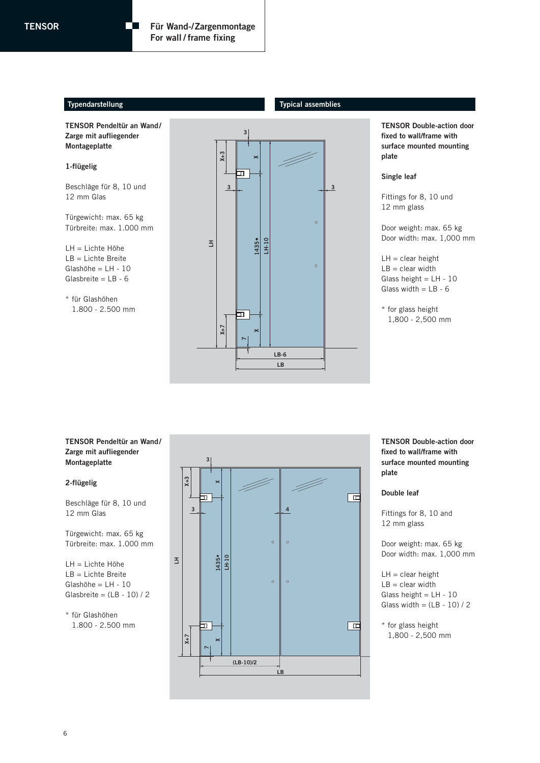# **Typendarstellung Typical assemblies**

**TENSOR Pendeltür an Wand/ Zarge mit aufliegender Montageplatte** 

#### **1-flügelig**

Beschläge für 8, 10 und 12 mm Glas

Türgewicht: max. 65 kg Türbreite: max. 1.000 mm

LH = Lichte Höhe LB = Lichte Breite Glashöhe = LH - 10 Glasbreite = LB - 6

\* für Glashöhen 1.800 - 2.500 mm



**TENSOR Double-action door fixed to wall/frame with surface mounted mounting plate** 

#### **Single leaf**

Fittings for 8, 10 und 12 mm glass

Door weight: max. 65 kg Door width: max. 1,000 mm

 $LH =$  clear height  $LB = clear width$ Glass height =  $LH - 10$ Glass width  $=$  LB - 6

\* for glass height 1,800 - 2,500 mm

## **TENSOR Pendeltür an Wand/ Zarge mit aufliegender Montageplatte**

#### **2-flügelig**

Beschläge für 8, 10 und 12 mm Glas

Türgewicht: max. 65 kg Türbreite: max. 1.000 mm

LH = Lichte Höhe LB = Lichte Breite Glashöhe = LH - 10 Glasbreite =  $(LB - 10)/2$ 

\* für Glashöhen 1.800 - 2.500 mm



**TENSOR Double-action door fixed to wall/frame with surface mounted mounting plate** 

#### **Double leaf**

Fittings for 8, 10 and 12 mm glass

Door weight: max. 65 kg Door width: max. 1,000 mm

 $LH =$  clear height  $LB = clear width$ Glass height =  $LH - 10$ Glass width =  $(LB - 10) / 2$ 

\* for glass height 1,800 - 2,500 mm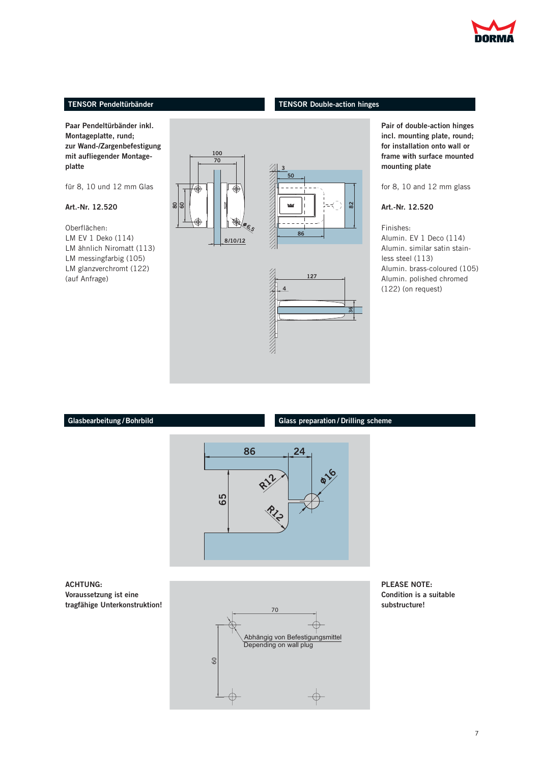

# **TENSOR Pendeltürbänder**

# **TENSOR Double-action hinges**

**Glass preparation / Drilling scheme**

**Paar Pendeltürbänder inkl. Montageplatte, rund; zur Wand-/Zargenbefestigung mit aufliegender Montageplatte**

für 8, 10 und 12 mm Glas

**80 60**

# **Art.-Nr. 12.520**

Oberflächen: LM EV 1 Deko (114) LM ähnlich Niromatt (113) LM messingfarbig (105) LM glanzverchromt (122) (auf Anfrage)



**Pair of double-action hinges incl. mounting plate, round; for installation onto wall or frame with surface mounted mounting plate**

for 8, 10 and 12 mm glass

**Art.-Nr. 12.520**

Finishes: Alumin. EV 1 Deco (114) Alumin. similar satin stainless steel (113) Alumin. brass-coloured (105) Alumin. polished chromed (122) (on request)

# **Glasbearbeitung /Bohrbild**



**ACHTUNG: Voraussetzung ist eine tragfähige Unterkonstruktion!**



**PLEASE NOTE: Condition is a suitable substructure!**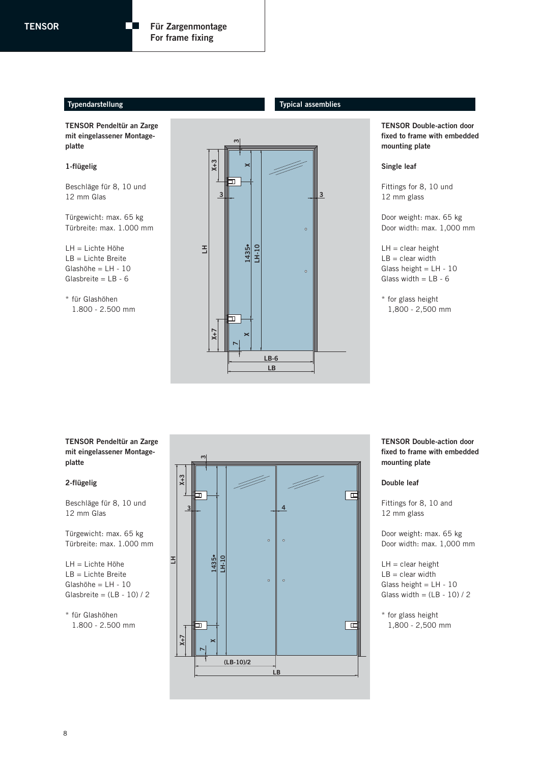# **Typendarstellung Typical assemblies**

**TENSOR Pendeltür an Zarge mit eingelassener Montageplatte**

 $\Box$ 

# **1-flügelig**

Beschläge für 8, 10 und 12 mm Glas

Türgewicht: max. 65 kg Türbreite: max. 1.000 mm

LH = Lichte Höhe LB = Lichte Breite Glashöhe = LH - 10 Glasbreite = LB - 6

\* für Glashöhen 1.800 - 2.500 mm



**TENSOR Double-action door fixed to frame with embedded mounting plate**

#### **Single leaf**

Fittings for 8, 10 und 12 mm glass

Door weight: max. 65 kg Door width: max. 1,000 mm

 $LH =$  clear height  $LB = clear$  width Glass height =  $LH - 10$ Glass width  $=$  LB - 6

\* for glass height 1,800 - 2,500 mm

## **TENSOR Pendeltür an Zarge mit eingelassener Montageplatte**

#### **2-flügelig**

Beschläge für 8, 10 und 12 mm Glas

Türgewicht: max. 65 kg Türbreite: max. 1.000 mm

LH = Lichte Höhe LB = Lichte Breite Glashöhe = LH - 10 Glasbreite =  $(LB - 10) / 2$ 

\* für Glashöhen 1.800 - 2.500 mm



**TENSOR Double-action door fixed to frame with embedded mounting plate**

#### **Double leaf**

Fittings for 8, 10 and 12 mm glass

Door weight: max. 65 kg Door width: max. 1,000 mm

 $LH =$  clear height  $LB = clear width$ Glass height =  $LH - 10$ Glass width =  $(LB - 10) / 2$ 

\* for glass height 1,800 - 2,500 mm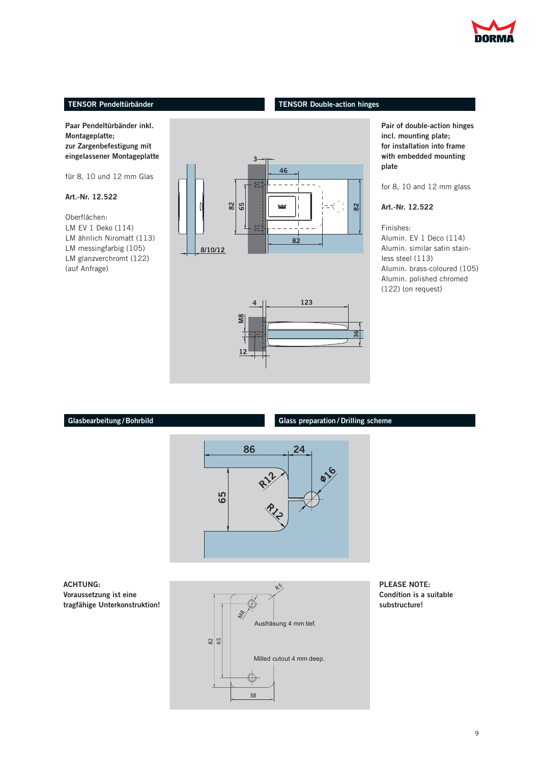

# **TENSOR Pendeltürbänder**

**Paar Pendeltürbänder inkl. Montageplatte; zur Zargenbefestigung mit eingelassener Montageplatte**

für 8, 10 und 12 mm Glas

# **Art.-Nr. 12.522**

Oberflächen: LM EV 1 Deko (114) LM ähnlich Niromatt (113) LM messingfarbig (105) LM glanzverchromt (122) (auf Anfrage)



**TENSOR Double-action hinges**



**Glass preparation / Drilling scheme**

**Pair of double-action hinges incl. mounting plate; for installation into frame with embedded mounting plate**

for 8, 10 and 12 mm glass

**Art.-Nr. 12.522**

Finishes: Alumin. EV 1 Deco (114) Alumin. similar satin stainless steel (113) Alumin. brass-coloured (105) Alumin. polished chromed (122) (on request)

# **Glasbearbeitung /Bohrbild**



**ACHTUNG: Voraussetzung ist eine tragfähige Unterkonstruktion!**



**PLEASE NOTE: Condition is a suitable substructure!**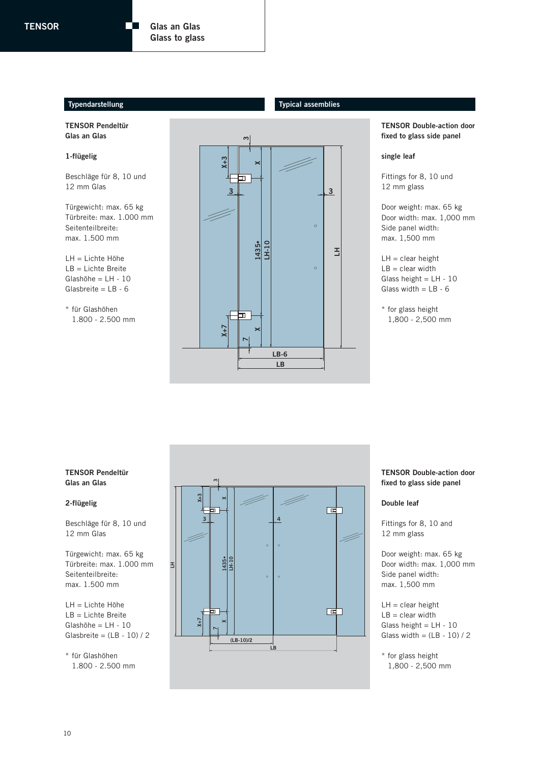$\Box$ 

# **Typendarstellung Typical assemblies**

**TENSOR Pendeltür Glas an Glas**

# **1-flügelig**

Beschläge für 8, 10 und 12 mm Glas

Türgewicht: max. 65 kg Türbreite: max. 1.000 mm Seitenteilbreite: max. 1.500 mm

LH = Lichte Höhe LB = Lichte Breite Glashöhe = LH - 10 Glasbreite = LB - 6

\* für Glashöhen 1.800 - 2.500 mm



**TENSOR Double-action door fixed to glass side panel**

#### **single leaf**

Fittings for 8, 10 und 12 mm glass

Door weight: max. 65 kg Door width: max. 1,000 mm Side panel width: max. 1,500 mm

 $LH =$  clear height  $LB = clear width$ Glass height = LH - 10 Glass width  $=$  LB - 6

\* for glass height 1,800 - 2,500 mm

# **TENSOR Pendeltür Glas an Glas**

# **2-flügelig**

Beschläge für 8, 10 und 12 mm Glas

Türgewicht: max. 65 kg Türbreite: max. 1.000 mm Seitenteilbreite: max. 1.500 mm

LH = Lichte Höhe LB = Lichte Breite Glashöhe = LH - 10 Glasbreite =  $(LB - 10)/2$ 

\* für Glashöhen 1.800 - 2.500 mm



# **TENSOR Double-action door fixed to glass side panel**

#### **Double leaf**

Fittings for 8, 10 and 12 mm glass

Door weight: max. 65 kg Door width: max. 1,000 mm Side panel width: max. 1,500 mm

 $LH =$  clear height  $LB = clear width$ Glass height = LH - 10 Glass width =  $(LB - 10) / 2$ 

\* for glass height 1,800 - 2,500 mm